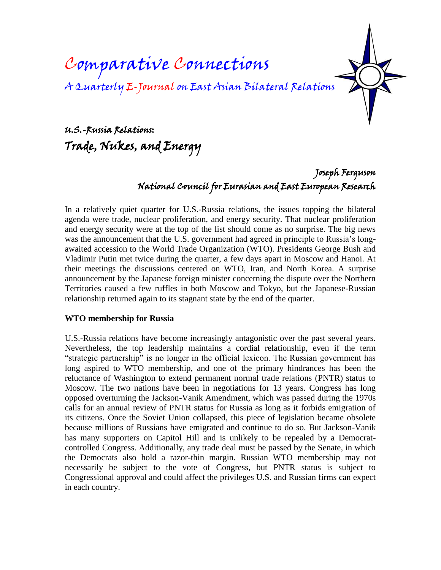# Comparative Connections A Quarterly E-Journal on East Asian Bilateral Relations

U.S.-Russia Relations: Trade, Nukes, and Energy

> Joseph Ferguson National Council for Eurasian and East European Research

In a relatively quiet quarter for U.S.-Russia relations, the issues topping the bilateral agenda were trade, nuclear proliferation, and energy security. That nuclear proliferation and energy security were at the top of the list should come as no surprise. The big news was the announcement that the U.S. government had agreed in principle to Russia's longawaited accession to the World Trade Organization (WTO). Presidents George Bush and Vladimir Putin met twice during the quarter, a few days apart in Moscow and Hanoi. At their meetings the discussions centered on WTO, Iran, and North Korea. A surprise announcement by the Japanese foreign minister concerning the dispute over the Northern Territories caused a few ruffles in both Moscow and Tokyo, but the Japanese-Russian relationship returned again to its stagnant state by the end of the quarter.

#### **WTO membership for Russia**

U.S.-Russia relations have become increasingly antagonistic over the past several years. Nevertheless, the top leadership maintains a cordial relationship, even if the term "strategic partnership" is no longer in the official lexicon. The Russian government has long aspired to WTO membership, and one of the primary hindrances has been the reluctance of Washington to extend permanent normal trade relations (PNTR) status to Moscow. The two nations have been in negotiations for 13 years. Congress has long opposed overturning the Jackson-Vanik Amendment, which was passed during the 1970s calls for an annual review of PNTR status for Russia as long as it forbids emigration of its citizens. Once the Soviet Union collapsed, this piece of legislation became obsolete because millions of Russians have emigrated and continue to do so. But Jackson-Vanik has many supporters on Capitol Hill and is unlikely to be repealed by a Democratcontrolled Congress. Additionally, any trade deal must be passed by the Senate, in which the Democrats also hold a razor-thin margin. Russian WTO membership may not necessarily be subject to the vote of Congress, but PNTR status is subject to Congressional approval and could affect the privileges U.S. and Russian firms can expect in each country.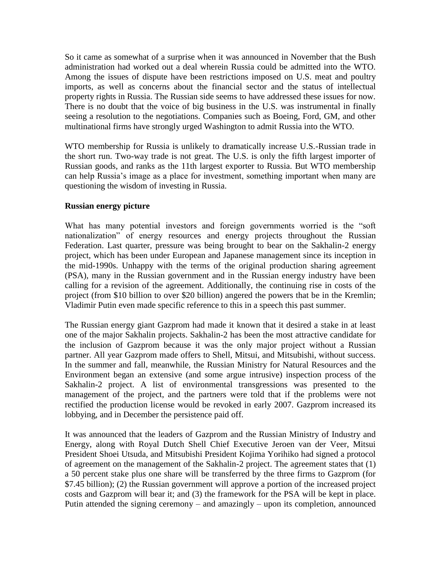So it came as somewhat of a surprise when it was announced in November that the Bush administration had worked out a deal wherein Russia could be admitted into the WTO. Among the issues of dispute have been restrictions imposed on U.S. meat and poultry imports, as well as concerns about the financial sector and the status of intellectual property rights in Russia. The Russian side seems to have addressed these issues for now. There is no doubt that the voice of big business in the U.S. was instrumental in finally seeing a resolution to the negotiations. Companies such as Boeing, Ford, GM, and other multinational firms have strongly urged Washington to admit Russia into the WTO.

WTO membership for Russia is unlikely to dramatically increase U.S.-Russian trade in the short run. Two-way trade is not great. The U.S. is only the fifth largest importer of Russian goods, and ranks as the 11th largest exporter to Russia. But WTO membership can help Russia's image as a place for investment, something important when many are questioning the wisdom of investing in Russia.

#### **Russian energy picture**

What has many potential investors and foreign governments worried is the "soft nationalization" of energy resources and energy projects throughout the Russian Federation. Last quarter, pressure was being brought to bear on the Sakhalin-2 energy project, which has been under European and Japanese management since its inception in the mid-1990s. Unhappy with the terms of the original production sharing agreement (PSA), many in the Russian government and in the Russian energy industry have been calling for a revision of the agreement. Additionally, the continuing rise in costs of the project (from \$10 billion to over \$20 billion) angered the powers that be in the Kremlin; Vladimir Putin even made specific reference to this in a speech this past summer.

The Russian energy giant Gazprom had made it known that it desired a stake in at least one of the major Sakhalin projects. Sakhalin-2 has been the most attractive candidate for the inclusion of Gazprom because it was the only major project without a Russian partner. All year Gazprom made offers to Shell, Mitsui, and Mitsubishi, without success. In the summer and fall, meanwhile, the Russian Ministry for Natural Resources and the Environment began an extensive (and some argue intrusive) inspection process of the Sakhalin-2 project. A list of environmental transgressions was presented to the management of the project, and the partners were told that if the problems were not rectified the production license would be revoked in early 2007. Gazprom increased its lobbying, and in December the persistence paid off.

It was announced that the leaders of Gazprom and the Russian Ministry of Industry and Energy, along with Royal Dutch Shell Chief Executive Jeroen van der Veer, Mitsui President Shoei Utsuda, and Mitsubishi President Kojima Yorihiko had signed a protocol of agreement on the management of the Sakhalin-2 project. The agreement states that (1) a 50 percent stake plus one share will be transferred by the three firms to Gazprom (for \$7.45 billion); (2) the Russian government will approve a portion of the increased project costs and Gazprom will bear it; and (3) the framework for the PSA will be kept in place. Putin attended the signing ceremony – and amazingly – upon its completion, announced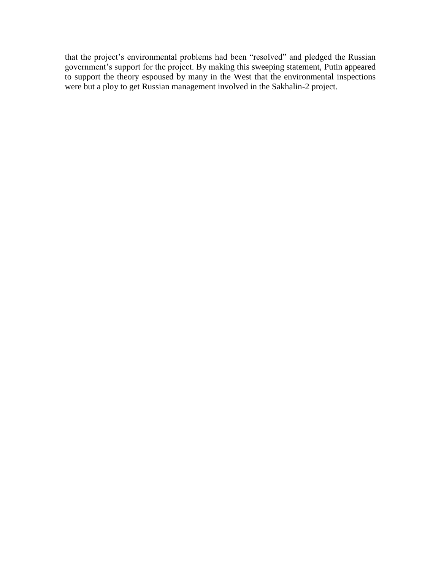that the project's environmental problems had been "resolved" and pledged the Russian government's support for the project. By making this sweeping statement, Putin appeared to support the theory espoused by many in the West that the environmental inspections were but a ploy to get Russian management involved in the Sakhalin-2 project.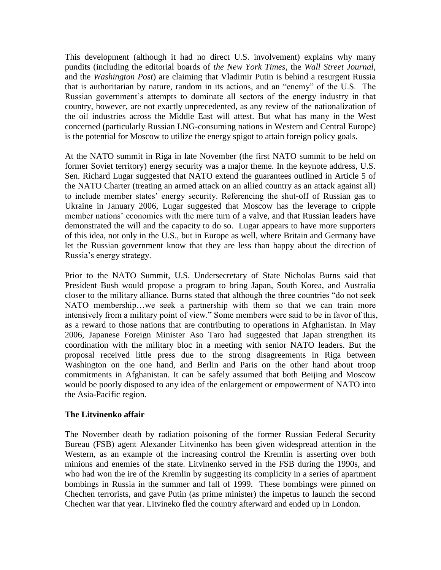This development (although it had no direct U.S. involvement) explains why many pundits (including the editorial boards of *the New York Times*, the *Wall Street Journal*, and the *Washington Post*) are claiming that Vladimir Putin is behind a resurgent Russia that is authoritarian by nature, random in its actions, and an "enemy" of the U.S. The Russian government's attempts to dominate all sectors of the energy industry in that country, however, are not exactly unprecedented, as any review of the nationalization of the oil industries across the Middle East will attest. But what has many in the West concerned (particularly Russian LNG-consuming nations in Western and Central Europe) is the potential for Moscow to utilize the energy spigot to attain foreign policy goals.

At the NATO summit in Riga in late November (the first NATO summit to be held on former Soviet territory) energy security was a major theme. In the keynote address, U.S. Sen. Richard Lugar suggested that NATO extend the guarantees outlined in Article 5 of the NATO Charter (treating an armed attack on an allied country as an attack against all) to include member states' energy security. Referencing the shut-off of Russian gas to Ukraine in January 2006, Lugar suggested that Moscow has the leverage to cripple member nations' economies with the mere turn of a valve, and that Russian leaders have demonstrated the will and the capacity to do so. Lugar appears to have more supporters of this idea, not only in the U.S., but in Europe as well, where Britain and Germany have let the Russian government know that they are less than happy about the direction of Russia's energy strategy.

Prior to the NATO Summit, U.S. Undersecretary of State Nicholas Burns said that President Bush would propose a program to bring Japan, South Korea, and Australia closer to the military alliance. Burns stated that although the three countries "do not seek NATO membership…we seek a partnership with them so that we can train more intensively from a military point of view." Some members were said to be in favor of this, as a reward to those nations that are contributing to operations in Afghanistan. In May 2006, Japanese Foreign Minister Aso Taro had suggested that Japan strengthen its coordination with the military bloc in a meeting with senior NATO leaders. But the proposal received little press due to the strong disagreements in Riga between Washington on the one hand, and Berlin and Paris on the other hand about troop commitments in Afghanistan. It can be safely assumed that both Beijing and Moscow would be poorly disposed to any idea of the enlargement or empowerment of NATO into the Asia-Pacific region.

# **The Litvinenko affair**

The November death by radiation poisoning of the former Russian Federal Security Bureau (FSB) agent Alexander Litvinenko has been given widespread attention in the Western, as an example of the increasing control the Kremlin is asserting over both minions and enemies of the state. Litvinenko served in the FSB during the 1990s, and who had won the ire of the Kremlin by suggesting its complicity in a series of apartment bombings in Russia in the summer and fall of 1999. These bombings were pinned on Chechen terrorists, and gave Putin (as prime minister) the impetus to launch the second Chechen war that year. Litvineko fled the country afterward and ended up in London.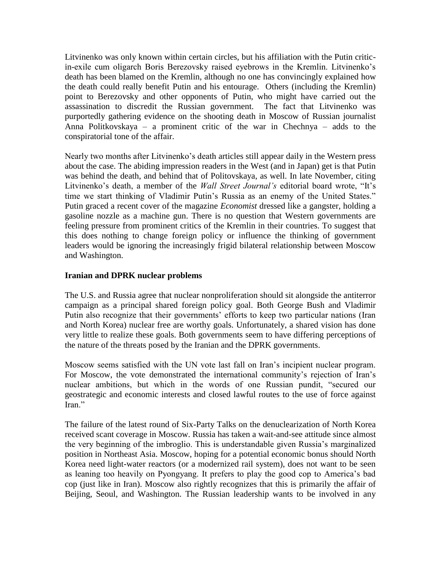Litvinenko was only known within certain circles, but his affiliation with the Putin criticin-exile cum oligarch Boris Berezovsky raised eyebrows in the Kremlin. Litvinenko's death has been blamed on the Kremlin, although no one has convincingly explained how the death could really benefit Putin and his entourage. Others (including the Kremlin) point to Berezovsky and other opponents of Putin, who might have carried out the assassination to discredit the Russian government. The fact that Litvinenko was purportedly gathering evidence on the shooting death in Moscow of Russian journalist Anna Politkovskaya – a prominent critic of the war in Chechnya – adds to the conspiratorial tone of the affair.

Nearly two months after Litvinenko's death articles still appear daily in the Western press about the case. The abiding impression readers in the West (and in Japan) get is that Putin was behind the death, and behind that of Politovskaya, as well. In late November, citing Litvinenko's death, a member of the *Wall Street Journal's* editorial board wrote, "It's time we start thinking of Vladimir Putin's Russia as an enemy of the United States." Putin graced a recent cover of the magazine *Economist* dressed like a gangster, holding a gasoline nozzle as a machine gun. There is no question that Western governments are feeling pressure from prominent critics of the Kremlin in their countries. To suggest that this does nothing to change foreign policy or influence the thinking of government leaders would be ignoring the increasingly frigid bilateral relationship between Moscow and Washington.

## **Iranian and DPRK nuclear problems**

The U.S. and Russia agree that nuclear nonproliferation should sit alongside the antiterror campaign as a principal shared foreign policy goal. Both George Bush and Vladimir Putin also recognize that their governments' efforts to keep two particular nations (Iran and North Korea) nuclear free are worthy goals. Unfortunately, a shared vision has done very little to realize these goals. Both governments seem to have differing perceptions of the nature of the threats posed by the Iranian and the DPRK governments.

Moscow seems satisfied with the UN vote last fall on Iran's incipient nuclear program. For Moscow, the vote demonstrated the international community's rejection of Iran's nuclear ambitions, but which in the words of one Russian pundit, "secured our geostrategic and economic interests and closed lawful routes to the use of force against Iran."

The failure of the latest round of Six-Party Talks on the denuclearization of North Korea received scant coverage in Moscow. Russia has taken a wait-and-see attitude since almost the very beginning of the imbroglio. This is understandable given Russia's marginalized position in Northeast Asia. Moscow, hoping for a potential economic bonus should North Korea need light-water reactors (or a modernized rail system), does not want to be seen as leaning too heavily on Pyongyang. It prefers to play the good cop to America's bad cop (just like in Iran). Moscow also rightly recognizes that this is primarily the affair of Beijing, Seoul, and Washington. The Russian leadership wants to be involved in any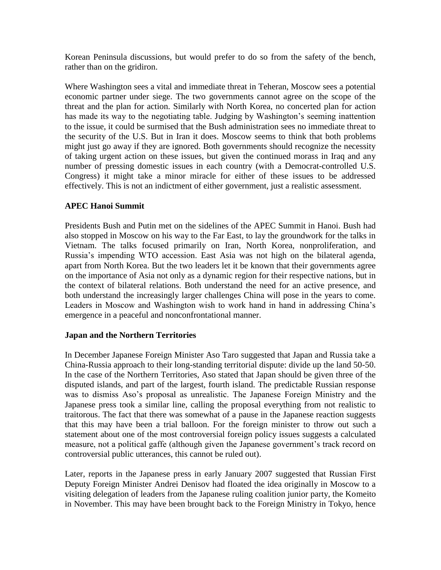Korean Peninsula discussions, but would prefer to do so from the safety of the bench, rather than on the gridiron.

Where Washington sees a vital and immediate threat in Teheran, Moscow sees a potential economic partner under siege. The two governments cannot agree on the scope of the threat and the plan for action. Similarly with North Korea, no concerted plan for action has made its way to the negotiating table. Judging by Washington's seeming inattention to the issue, it could be surmised that the Bush administration sees no immediate threat to the security of the U.S. But in Iran it does. Moscow seems to think that both problems might just go away if they are ignored. Both governments should recognize the necessity of taking urgent action on these issues, but given the continued morass in Iraq and any number of pressing domestic issues in each country (with a Democrat-controlled U.S. Congress) it might take a minor miracle for either of these issues to be addressed effectively. This is not an indictment of either government, just a realistic assessment.

## **APEC Hanoi Summit**

Presidents Bush and Putin met on the sidelines of the APEC Summit in Hanoi. Bush had also stopped in Moscow on his way to the Far East, to lay the groundwork for the talks in Vietnam. The talks focused primarily on Iran, North Korea, nonproliferation, and Russia's impending WTO accession. East Asia was not high on the bilateral agenda, apart from North Korea. But the two leaders let it be known that their governments agree on the importance of Asia not only as a dynamic region for their respective nations, but in the context of bilateral relations. Both understand the need for an active presence, and both understand the increasingly larger challenges China will pose in the years to come. Leaders in Moscow and Washington wish to work hand in hand in addressing China's emergence in a peaceful and nonconfrontational manner.

#### **Japan and the Northern Territories**

In December Japanese Foreign Minister Aso Taro suggested that Japan and Russia take a China-Russia approach to their long-standing territorial dispute: divide up the land 50-50. In the case of the Northern Territories, Aso stated that Japan should be given three of the disputed islands, and part of the largest, fourth island. The predictable Russian response was to dismiss Aso's proposal as unrealistic. The Japanese Foreign Ministry and the Japanese press took a similar line, calling the proposal everything from not realistic to traitorous. The fact that there was somewhat of a pause in the Japanese reaction suggests that this may have been a trial balloon. For the foreign minister to throw out such a statement about one of the most controversial foreign policy issues suggests a calculated measure, not a political gaffe (although given the Japanese government's track record on controversial public utterances, this cannot be ruled out).

Later, reports in the Japanese press in early January 2007 suggested that Russian First Deputy Foreign Minister Andrei Denisov had floated the idea originally in Moscow to a visiting delegation of leaders from the Japanese ruling coalition junior party, the Komeito in November. This may have been brought back to the Foreign Ministry in Tokyo, hence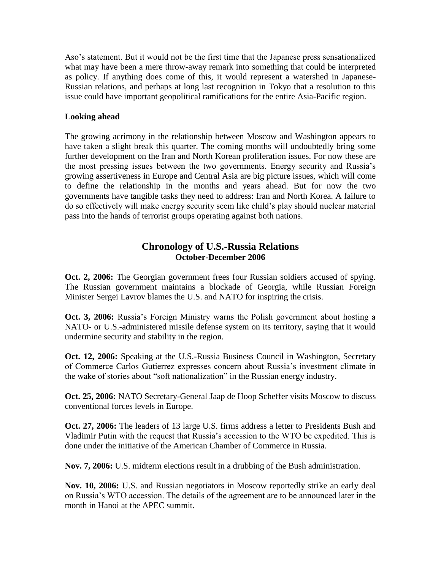Aso's statement. But it would not be the first time that the Japanese press sensationalized what may have been a mere throw-away remark into something that could be interpreted as policy. If anything does come of this, it would represent a watershed in Japanese-Russian relations, and perhaps at long last recognition in Tokyo that a resolution to this issue could have important geopolitical ramifications for the entire Asia-Pacific region.

## **Looking ahead**

The growing acrimony in the relationship between Moscow and Washington appears to have taken a slight break this quarter. The coming months will undoubtedly bring some further development on the Iran and North Korean proliferation issues. For now these are the most pressing issues between the two governments. Energy security and Russia's growing assertiveness in Europe and Central Asia are big picture issues, which will come to define the relationship in the months and years ahead. But for now the two governments have tangible tasks they need to address: Iran and North Korea. A failure to do so effectively will make energy security seem like child's play should nuclear material pass into the hands of terrorist groups operating against both nations.

# **Chronology of U.S.-Russia Relations October-December 2006**

**Oct. 2, 2006:** The Georgian government frees four Russian soldiers accused of spying. The Russian government maintains a blockade of Georgia, while Russian Foreign Minister Sergei Lavrov blames the U.S. and NATO for inspiring the crisis.

**Oct. 3, 2006:** Russia's Foreign Ministry warns the Polish government about hosting a NATO- or U.S.-administered missile defense system on its territory, saying that it would undermine security and stability in the region.

**Oct. 12, 2006:** Speaking at the U.S.-Russia Business Council in Washington, Secretary of Commerce Carlos Gutierrez expresses concern about Russia's investment climate in the wake of stories about "soft nationalization" in the Russian energy industry.

**Oct. 25, 2006:** NATO Secretary-General Jaap de Hoop Scheffer visits Moscow to discuss conventional forces levels in Europe.

**Oct. 27, 2006:** The leaders of 13 large U.S. firms address a letter to Presidents Bush and Vladimir Putin with the request that Russia's accession to the WTO be expedited. This is done under the initiative of the American Chamber of Commerce in Russia.

**Nov. 7, 2006:** U.S. midterm elections result in a drubbing of the Bush administration.

**Nov. 10, 2006:** U.S. and Russian negotiators in Moscow reportedly strike an early deal on Russia's WTO accession. The details of the agreement are to be announced later in the month in Hanoi at the APEC summit.